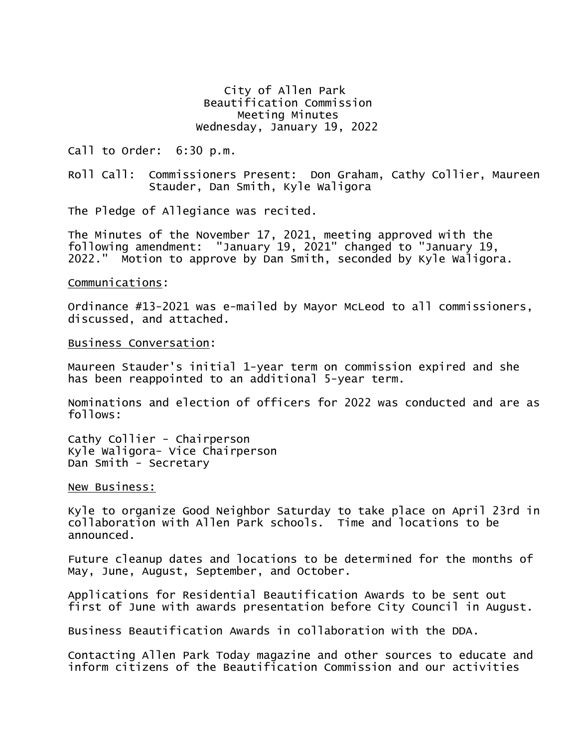City of Allen Park Beautification Commission Meeting Minutes Wednesday, January 19, 2022

Call to Order: 6:30 p.m.

Roll Call: Commissioners Present: Don Graham, Cathy Collier, Maureen Stauder, Dan Smith, Kyle Waligora

The Pledge of Allegiance was recited.

The Minutes of the November 17, 2021, meeting approved with the following amendment: "January 19, 2021" changed to "January 19, 2022." Motion to approve by Dan Smith, seconded by Kyle Waligora.

## Communications:

Ordinance #13-2021 was e-mailed by Mayor McLeod to all commissioners, discussed, and attached.

Business Conversation:

Maureen Stauder's initial 1-year term on commission expired and she has been reappointed to an additional 5-year term.

Nominations and election of officers for 2022 was conducted and are as follows:

Cathy Collier - Chairperson Kyle Waligora- Vice Chairperson Dan Smith - Secretary

## New Business:

Kyle to organize Good Neighbor Saturday to take place on April 23rd in collaboration with Allen Park schools. Time and locations to be announced.

Future cleanup dates and locations to be determined for the months of May, June, August, September, and October.

Applications for Residential Beautification Awards to be sent out first of June with awards presentation before City Council in August.

Business Beautification Awards in collaboration with the DDA.

Contacting Allen Park Today magazine and other sources to educate and inform citizens of the Beautification Commission and our activities